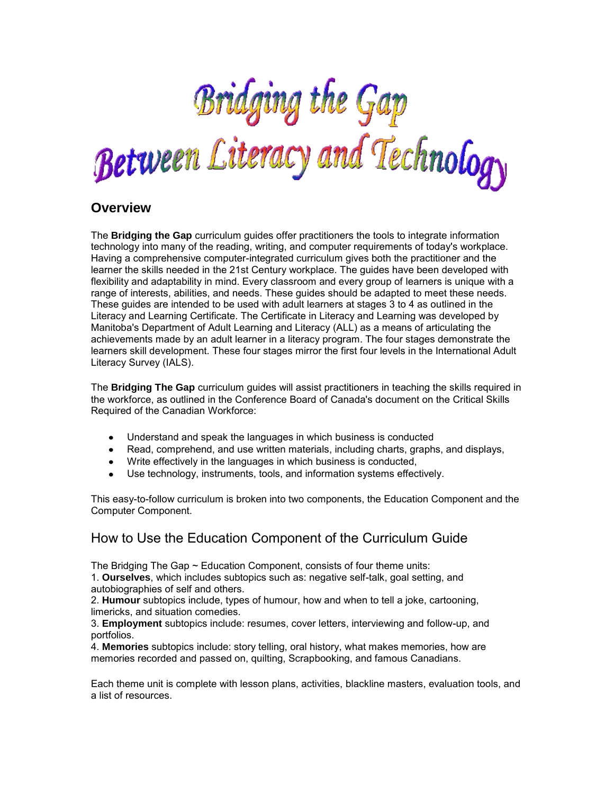

# **Overview**

The **Bridging the Gap** curriculum guides offer practitioners the tools to integrate information technology into many of the reading, writing, and computer requirements of today's workplace. Having a comprehensive computer-integrated curriculum gives both the practitioner and the learner the skills needed in the 21st Century workplace. The guides have been developed with flexibility and adaptability in mind. Every classroom and every group of learners is unique with a range of interests, abilities, and needs. These guides should be adapted to meet these needs. These guides are intended to be used with adult learners at stages 3 to 4 as outlined in the Literacy and Learning Certificate. The Certificate in Literacy and Learning was developed by Manitoba's Department of Adult Learning and Literacy (ALL) as a means of articulating the achievements made by an adult learner in a literacy program. The four stages demonstrate the learners skill development. These four stages mirror the first four levels in the International Adult Literacy Survey (IALS).

The **Bridging The Gap** curriculum guides will assist practitioners in teaching the skills required in the workforce, as outlined in the Conference Board of Canada's document on the Critical Skills Required of the Canadian Workforce:

- Understand and speak the languages in which business is conducted
- Read, comprehend, and use written materials, including charts, graphs, and displays,
- Write effectively in the languages in which business is conducted,
- Use technology, instruments, tools, and information systems effectively.

This easy-to-follow curriculum is broken into two components, the Education Component and the Computer Component.

# How to Use the Education Component of the Curriculum Guide

The Bridging The Gap  $\sim$  Education Component, consists of four theme units:

1. **Ourselves**, which includes subtopics such as: negative self-talk, goal setting, and autobiographies of self and others.

2. **Humour** subtopics include, types of humour, how and when to tell a joke, cartooning, limericks, and situation comedies.

3. **Employment** subtopics include: resumes, cover letters, interviewing and follow-up, and portfolios.

4. **Memories** subtopics include: story telling, oral history, what makes memories, how are memories recorded and passed on, quilting, Scrapbooking, and famous Canadians.

Each theme unit is complete with lesson plans, activities, blackline masters, evaluation tools, and a list of resources.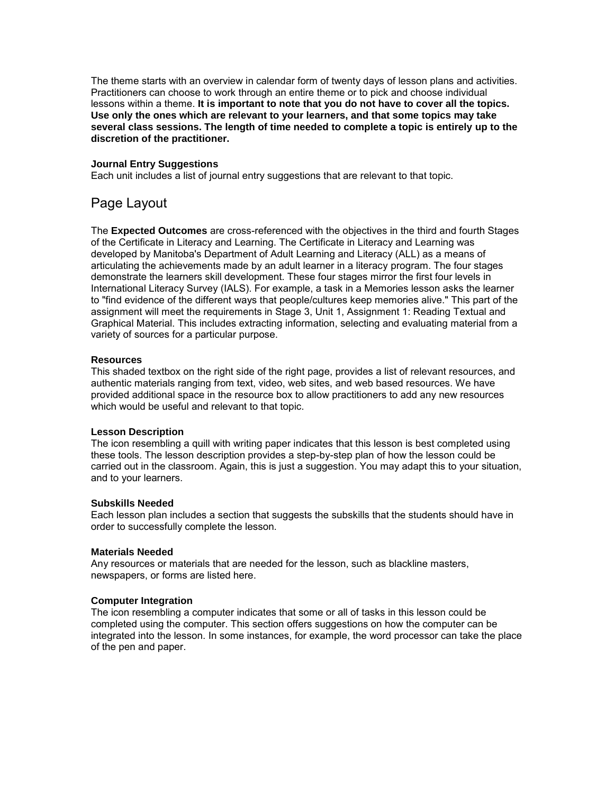The theme starts with an overview in calendar form of twenty days of lesson plans and activities. Practitioners can choose to work through an entire theme or to pick and choose individual lessons within a theme. **It is important to note that you do not have to cover all the topics. Use only the ones which are relevant to your learners, and that some topics may take several class sessions. The length of time needed to complete a topic is entirely up to the discretion of the practitioner.**

### **Journal Entry Suggestions**

Each unit includes a list of journal entry suggestions that are relevant to that topic.

# Page Layout

The **Expected Outcomes** are cross-referenced with the objectives in the third and fourth Stages of the Certificate in Literacy and Learning. The Certificate in Literacy and Learning was developed by Manitoba's Department of Adult Learning and Literacy (ALL) as a means of articulating the achievements made by an adult learner in a literacy program. The four stages demonstrate the learners skill development. These four stages mirror the first four levels in International Literacy Survey (IALS). For example, a task in a Memories lesson asks the learner to "find evidence of the different ways that people/cultures keep memories alive." This part of the assignment will meet the requirements in Stage 3, Unit 1, Assignment 1: Reading Textual and Graphical Material. This includes extracting information, selecting and evaluating material from a variety of sources for a particular purpose.

### **Resources**

This shaded textbox on the right side of the right page, provides a list of relevant resources, and authentic materials ranging from text, video, web sites, and web based resources. We have provided additional space in the resource box to allow practitioners to add any new resources which would be useful and relevant to that topic.

#### **Lesson Description**

The icon resembling a quill with writing paper indicates that this lesson is best completed using these tools. The lesson description provides a step-by-step plan of how the lesson could be carried out in the classroom. Again, this is just a suggestion. You may adapt this to your situation, and to your learners.

### **Subskills Needed**

Each lesson plan includes a section that suggests the subskills that the students should have in order to successfully complete the lesson.

#### **Materials Needed**

Any resources or materials that are needed for the lesson, such as blackline masters, newspapers, or forms are listed here.

#### **Computer Integration**

The icon resembling a computer indicates that some or all of tasks in this lesson could be completed using the computer. This section offers suggestions on how the computer can be integrated into the lesson. In some instances, for example, the word processor can take the place of the pen and paper.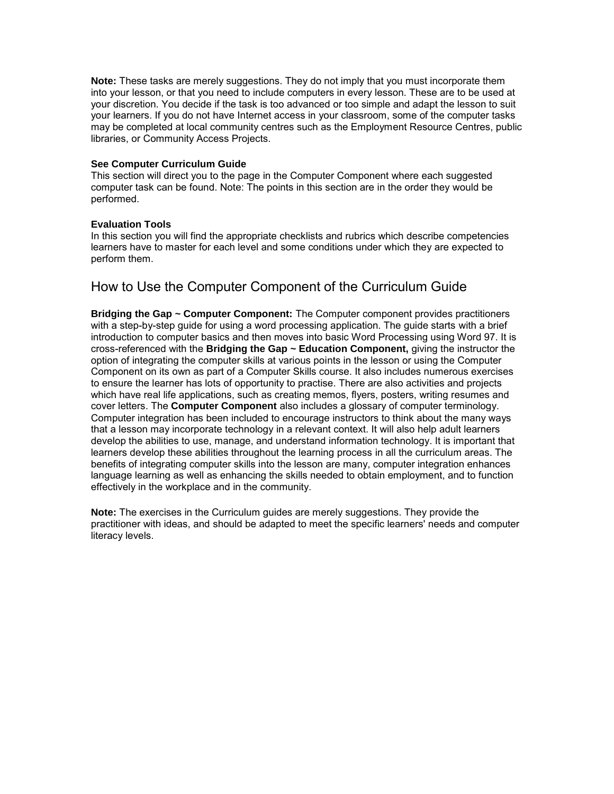**Note:** These tasks are merely suggestions. They do not imply that you must incorporate them into your lesson, or that you need to include computers in every lesson. These are to be used at your discretion. You decide if the task is too advanced or too simple and adapt the lesson to suit your learners. If you do not have Internet access in your classroom, some of the computer tasks may be completed at local community centres such as the Employment Resource Centres, public libraries, or Community Access Projects.

### **See Computer Curriculum Guide**

This section will direct you to the page in the Computer Component where each suggested computer task can be found. Note: The points in this section are in the order they would be performed.

### **Evaluation Tools**

In this section you will find the appropriate checklists and rubrics which describe competencies learners have to master for each level and some conditions under which they are expected to perform them.

# How to Use the Computer Component of the Curriculum Guide

**Bridging the Gap ~ Computer Component:** The Computer component provides practitioners with a step-by-step guide for using a word processing application. The guide starts with a brief introduction to computer basics and then moves into basic Word Processing using Word 97. It is cross-referenced with the **Bridging the Gap ~ Education Component,** giving the instructor the option of integrating the computer skills at various points in the lesson or using the Computer Component on its own as part of a Computer Skills course. It also includes numerous exercises to ensure the learner has lots of opportunity to practise. There are also activities and projects which have real life applications, such as creating memos, flyers, posters, writing resumes and cover letters. The **Computer Component** also includes a glossary of computer terminology. Computer integration has been included to encourage instructors to think about the many ways that a lesson may incorporate technology in a relevant context. It will also help adult learners develop the abilities to use, manage, and understand information technology. It is important that learners develop these abilities throughout the learning process in all the curriculum areas. The benefits of integrating computer skills into the lesson are many, computer integration enhances language learning as well as enhancing the skills needed to obtain employment, and to function effectively in the workplace and in the community.

**Note:** The exercises in the Curriculum guides are merely suggestions. They provide the practitioner with ideas, and should be adapted to meet the specific learners' needs and computer literacy levels.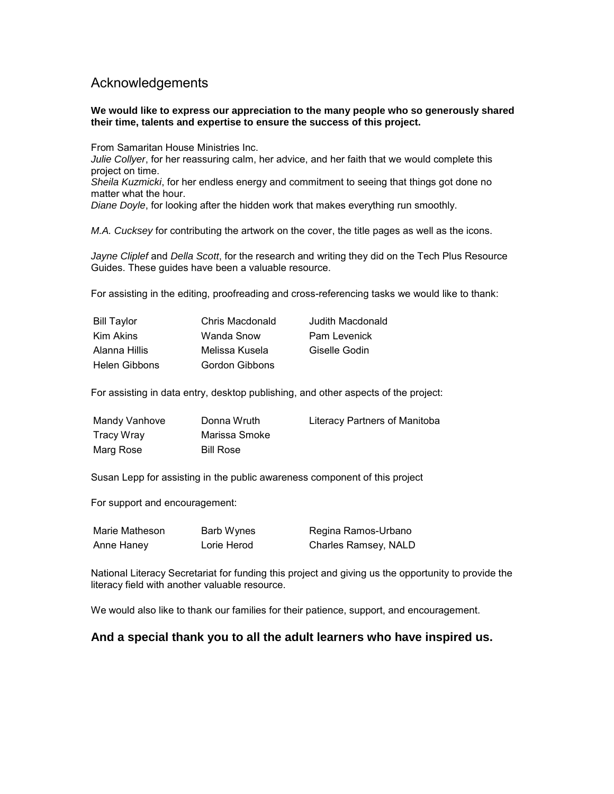# Acknowledgements

### **We would like to express our appreciation to the many people who so generously shared their time, talents and expertise to ensure the success of this project.**

From Samaritan House Ministries Inc.

*Julie Collyer*, for her reassuring calm, her advice, and her faith that we would complete this project on time.

*Sheila Kuzmicki*, for her endless energy and commitment to seeing that things got done no matter what the hour.

*Diane Doyle*, for looking after the hidden work that makes everything run smoothly.

*M.A. Cucksey* for contributing the artwork on the cover, the title pages as well as the icons.

*Jayne Cliplef* and *Della Scott*, for the research and writing they did on the Tech Plus Resource Guides. These guides have been a valuable resource.

For assisting in the editing, proofreading and cross-referencing tasks we would like to thank:

| <b>Bill Taylor</b> | Chris Macdonald | Judith Macdonald |
|--------------------|-----------------|------------------|
| Kim Akins          | Wanda Snow      | Pam Levenick     |
| Alanna Hillis      | Melissa Kusela  | Giselle Godin    |
| Helen Gibbons      | Gordon Gibbons  |                  |

For assisting in data entry, desktop publishing, and other aspects of the project:

| Mandy Vanhove | Donna Wruth      | Literacy Partners of Manitoba |
|---------------|------------------|-------------------------------|
| Tracy Wray    | Marissa Smoke    |                               |
| Marg Rose     | <b>Bill Rose</b> |                               |

Susan Lepp for assisting in the public awareness component of this project

For support and encouragement:

| Marie Matheson | Barb Wynes  | Regina Ramos-Urbano  |
|----------------|-------------|----------------------|
| Anne Haney     | Lorie Herod | Charles Ramsey, NALD |

National Literacy Secretariat for funding this project and giving us the opportunity to provide the literacy field with another valuable resource.

We would also like to thank our families for their patience, support, and encouragement.

## **And a special thank you to all the adult learners who have inspired us.**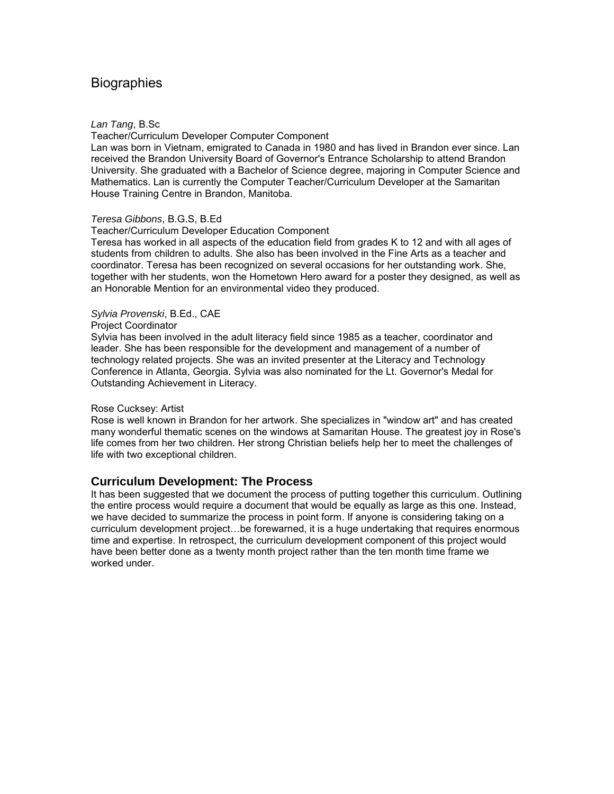# **Biographies**

### *Lan Tang*, B.Sc

Teacher/Curriculum Developer Computer Component

Lan was born in Vietnam, emigrated to Canada in 1980 and has lived in Brandon ever since. Lan received the Brandon University Board of Governor's Entrance Scholarship to attend Brandon University. She graduated with a Bachelor of Science degree, majoring in Computer Science and Mathematics. Lan is currently the Computer Teacher/Curriculum Developer at the Samaritan House Training Centre in Brandon, Manitoba.

#### *Teresa Gibbons*, B.G.S, B.Ed

Teacher/Curriculum Developer Education Component

Teresa has worked in all aspects of the education field from grades K to 12 and with all ages of students from children to adults. She also has been involved in the Fine Arts as a teacher and coordinator. Teresa has been recognized on several occasions for her outstanding work. She, together with her students, won the Hometown Hero award for a poster they designed, as well as an Honorable Mention for an environmental video they produced.

### *Sylvia Provenski*, B.Ed., CAE

#### Project Coordinator

Sylvia has been involved in the adult literacy field since 1985 as a teacher, coordinator and leader. She has been responsible for the development and management of a number of technology related projects. She was an invited presenter at the Literacy and Technology Conference in Atlanta, Georgia. Sylvia was also nominated for the Lt. Governor's Medal for Outstanding Achievement in Literacy.

### Rose Cucksey: Artist

Rose is well known in Brandon for her artwork. She specializes in "window art" and has created many wonderful thematic scenes on the windows at Samaritan House. The greatest joy in Rose's life comes from her two children. Her strong Christian beliefs help her to meet the challenges of life with two exceptional children.

### **Curriculum Development: The Process**

It has been suggested that we document the process of putting together this curriculum. Outlining the entire process would require a document that would be equally as large as this one. Instead, we have decided to summarize the process in point form. If anyone is considering taking on a curriculum development project…be forewarned, it is a huge undertaking that requires enormous time and expertise. In retrospect, the curriculum development component of this project would have been better done as a twenty month project rather than the ten month time frame we worked under.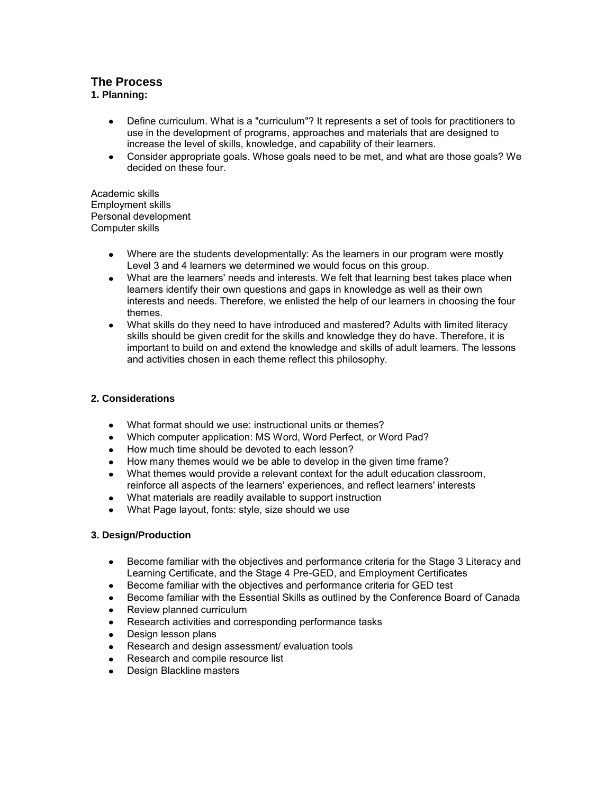# **The Process**

### **1. Planning:**

- Define curriculum. What is a "curriculum"? It represents a set of tools for practitioners to  $\bullet$ use in the development of programs, approaches and materials that are designed to increase the level of skills, knowledge, and capability of their learners.
- Consider appropriate goals. Whose goals need to be met, and what are those goals? We  $\bullet$ decided on these four.

Academic skills Employment skills Personal development Computer skills

- Where are the students developmentally: As the learners in our program were mostly Level 3 and 4 learners we determined we would focus on this group.
- What are the learners' needs and interests. We felt that learning best takes place when learners identify their own questions and gaps in knowledge as well as their own interests and needs. Therefore, we enlisted the help of our learners in choosing the four themes.
- What skills do they need to have introduced and mastered? Adults with limited literacy skills should be given credit for the skills and knowledge they do have. Therefore, it is important to build on and extend the knowledge and skills of adult learners. The lessons and activities chosen in each theme reflect this philosophy.

### **2. Considerations**

- What format should we use: instructional units or themes?  $\bullet$
- Which computer application: MS Word, Word Perfect, or Word Pad?  $\bullet$
- How much time should be devoted to each lesson?
- How many themes would we be able to develop in the given time frame?
- What themes would provide a relevant context for the adult education classroom, reinforce all aspects of the learners' experiences, and reflect learners' interests
- What materials are readily available to support instruction
- What Page layout, fonts: style, size should we use  $\bullet$

### **3. Design/Production**

- Become familiar with the objectives and performance criteria for the Stage 3 Literacy and Learning Certificate, and the Stage 4 Pre-GED, and Employment Certificates
- Become familiar with the objectives and performance criteria for GED test
- Become familiar with the Essential Skills as outlined by the Conference Board of Canada
- Review planned curriculum  $\bullet$
- Research activities and corresponding performance tasks
- Design lesson plans
- Research and design assessment/ evaluation tools
- Research and compile resource list
- Design Blackline masters